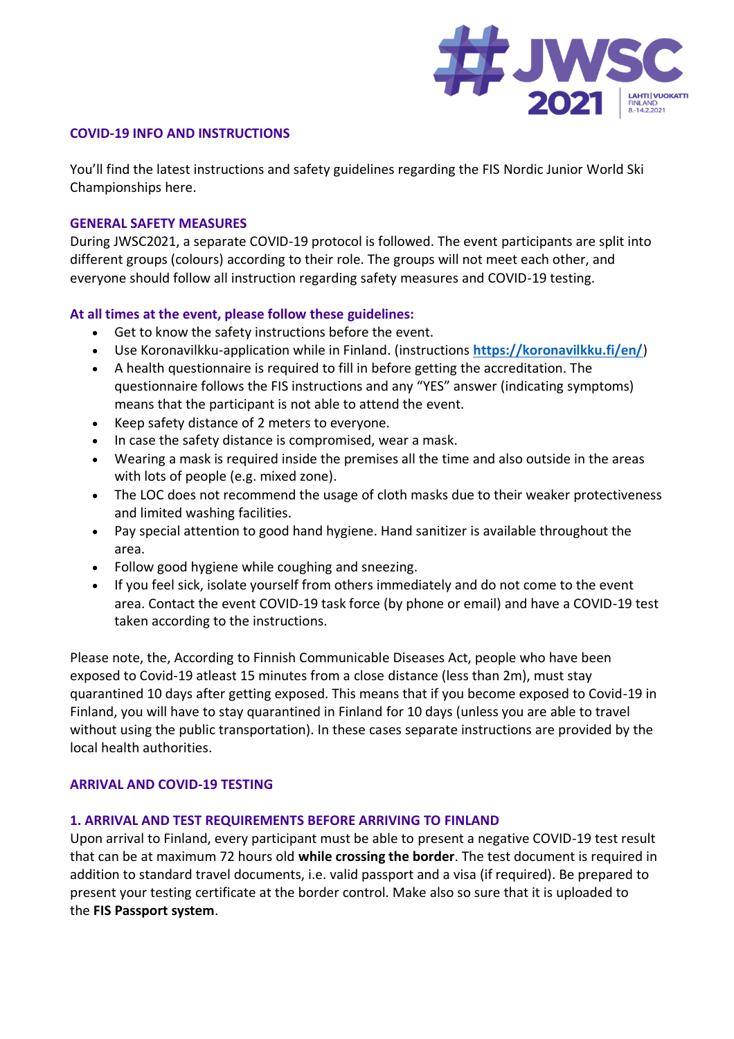

#### **COVID-19 INFO AND INSTRUCTIONS**

You'll find the latest instructions and safety guidelines regarding the FIS Nordic Junior World Ski Championships here.

#### **GENERAL SAFETY MEASURES**

During JWSC2021, a separate COVID-19 protocol is followed. The event participants are split into different groups (colours) according to their role. The groups will not meet each other, and everyone should follow all instruction regarding safety measures and COVID-19 testing.

## **At all times at the event, please follow these guidelines:**

- Get to know the safety instructions before the event.
- Use Koronavilkku-application while in Finland. (instructions **<https://koronavilkku.fi/en/>**)
- A health questionnaire is required to fill in before getting the accreditation. The questionnaire follows the FIS instructions and any "YES" answer (indicating symptoms) means that the participant is not able to attend the event.
- Keep safety distance of 2 meters to everyone.
- In case the safety distance is compromised, wear a mask.
- Wearing a mask is required inside the premises all the time and also outside in the areas with lots of people (e.g. mixed zone).
- The LOC does not recommend the usage of cloth masks due to their weaker protectiveness and limited washing facilities.
- Pay special attention to good hand hygiene. Hand sanitizer is available throughout the area.
- Follow good hygiene while coughing and sneezing.
- If you feel sick, isolate yourself from others immediately and do not come to the event area. Contact the event COVID-19 task force (by phone or email) and have a COVID-19 test taken according to the instructions.

Please note, the, According to Finnish Communicable Diseases Act, people who have been exposed to Covid-19 atleast 15 minutes from a close distance (less than 2m), must stay quarantined 10 days after getting exposed. This means that if you become exposed to Covid-19 in Finland, you will have to stay quarantined in Finland for 10 days (unless you are able to travel without using the public transportation). In these cases separate instructions are provided by the local health authorities.

### **ARRIVAL AND COVID-19 TESTING**

### **1. ARRIVAL AND TEST REQUIREMENTS BEFORE ARRIVING TO FINLAND**

Upon arrival to Finland, every participant must be able to present a negative COVID-19 test result that can be at maximum 72 hours old **while crossing the border**. The test document is required in addition to standard travel documents, i.e. valid passport and a visa (if required). Be prepared to present your testing certificate at the border control. Make also so sure that it is uploaded to the **FIS Passport system**.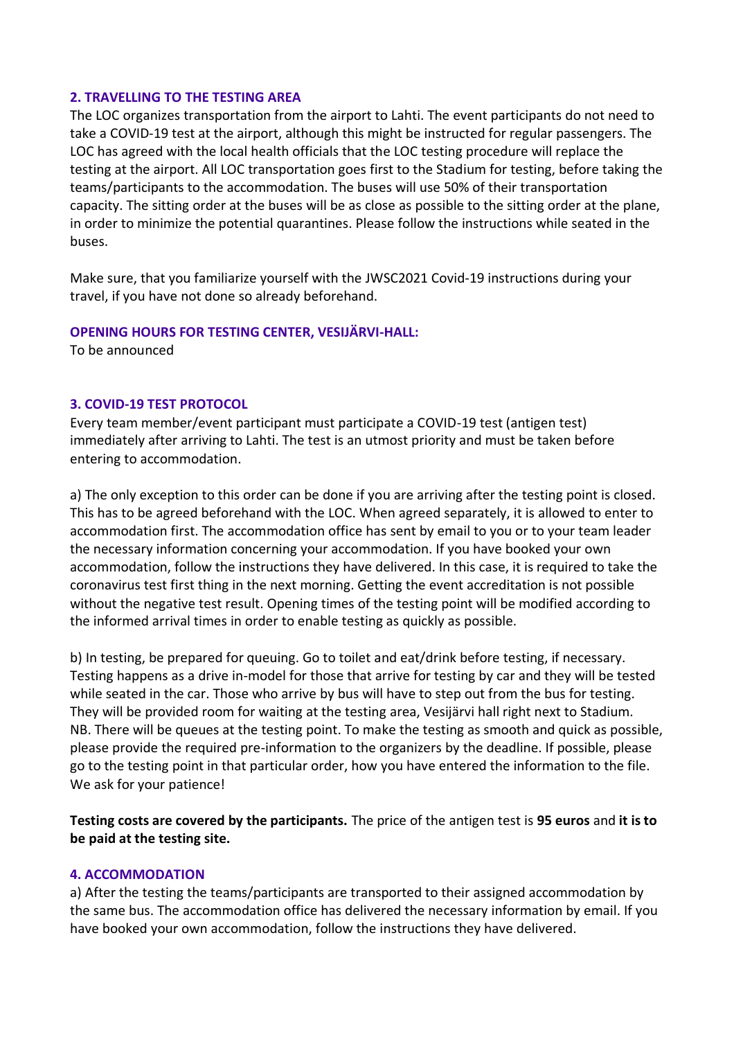#### **2. TRAVELLING TO THE TESTING AREA**

The LOC organizes transportation from the airport to Lahti. The event participants do not need to take a COVID-19 test at the airport, although this might be instructed for regular passengers. The LOC has agreed with the local health officials that the LOC testing procedure will replace the testing at the airport. All LOC transportation goes first to the Stadium for testing, before taking the teams/participants to the accommodation. The buses will use 50% of their transportation capacity. The sitting order at the buses will be as close as possible to the sitting order at the plane, in order to minimize the potential quarantines. Please follow the instructions while seated in the buses.

Make sure, that you familiarize yourself with the JWSC2021 Covid-19 instructions during your travel, if you have not done so already beforehand.

#### **OPENING HOURS FOR TESTING CENTER, VESIJÄRVI-HALL:**

To be announced

### **3. COVID-19 TEST PROTOCOL**

Every team member/event participant must participate a COVID-19 test (antigen test) immediately after arriving to Lahti. The test is an utmost priority and must be taken before entering to accommodation.

a) The only exception to this order can be done if you are arriving after the testing point is closed. This has to be agreed beforehand with the LOC. When agreed separately, it is allowed to enter to accommodation first. The accommodation office has sent by email to you or to your team leader the necessary information concerning your accommodation. If you have booked your own accommodation, follow the instructions they have delivered. In this case, it is required to take the coronavirus test first thing in the next morning. Getting the event accreditation is not possible without the negative test result. Opening times of the testing point will be modified according to the informed arrival times in order to enable testing as quickly as possible.

b) In testing, be prepared for queuing. Go to toilet and eat/drink before testing, if necessary. Testing happens as a drive in-model for those that arrive for testing by car and they will be tested while seated in the car. Those who arrive by bus will have to step out from the bus for testing. They will be provided room for waiting at the testing area, Vesijärvi hall right next to Stadium. NB. There will be queues at the testing point. To make the testing as smooth and quick as possible, please provide the required pre-information to the organizers by the deadline. If possible, please go to the testing point in that particular order, how you have entered the information to the file. We ask for your patience!

**Testing costs are covered by the participants.** The price of the antigen test is **95 euros** and **it is to be paid at the testing site.**

#### **4. ACCOMMODATION**

a) After the testing the teams/participants are transported to their assigned accommodation by the same bus. The accommodation office has delivered the necessary information by email. If you have booked your own accommodation, follow the instructions they have delivered.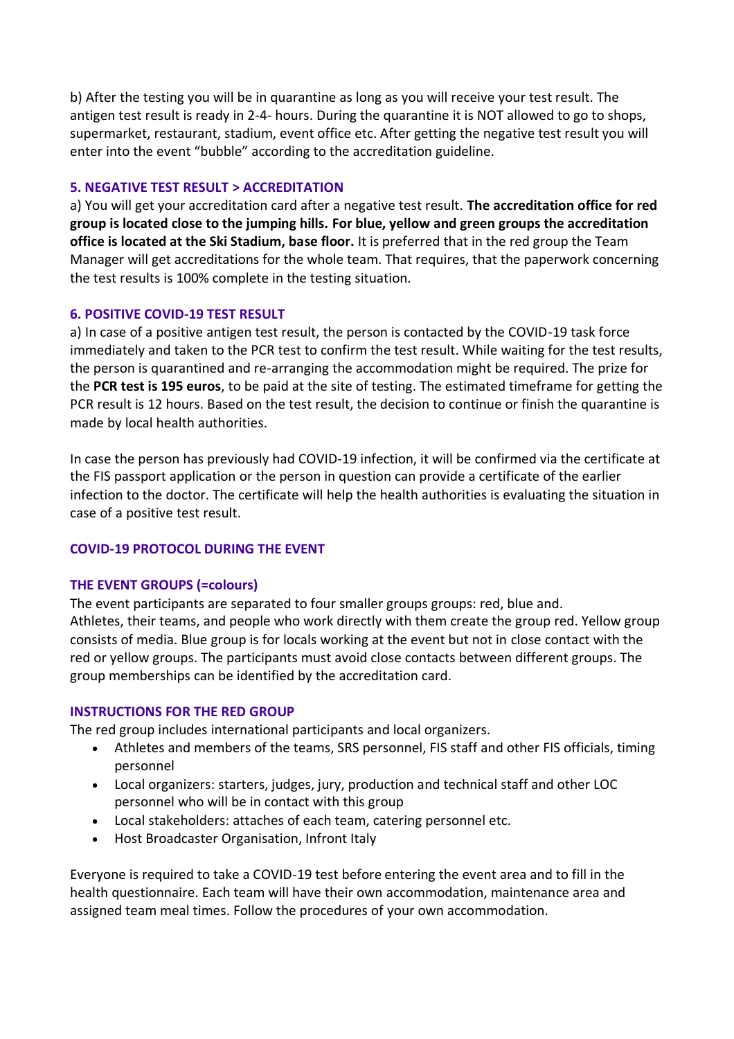b) After the testing you will be in quarantine as long as you will receive your test result. The antigen test result is ready in 2-4- hours. During the quarantine it is NOT allowed to go to shops, supermarket, restaurant, stadium, event office etc. After getting the negative test result you will enter into the event "bubble" according to the accreditation guideline.

## **5. NEGATIVE TEST RESULT > ACCREDITATION**

a) You will get your accreditation card after a negative test result. **The accreditation office for red group is located close to the jumping hills. For blue, yellow and green groups the accreditation office is located at the Ski Stadium, base floor.** It is preferred that in the red group the Team Manager will get accreditations for the whole team. That requires, that the paperwork concerning the test results is 100% complete in the testing situation.

## **6. POSITIVE COVID-19 TEST RESULT**

a) In case of a positive antigen test result, the person is contacted by the COVID-19 task force immediately and taken to the PCR test to confirm the test result. While waiting for the test results, the person is quarantined and re-arranging the accommodation might be required. The prize for the **PCR test is 195 euros**, to be paid at the site of testing. The estimated timeframe for getting the PCR result is 12 hours. Based on the test result, the decision to continue or finish the quarantine is made by local health authorities.

In case the person has previously had COVID-19 infection, it will be confirmed via the certificate at the FIS passport application or the person in question can provide a certificate of the earlier infection to the doctor. The certificate will help the health authorities is evaluating the situation in case of a positive test result.

# **COVID-19 PROTOCOL DURING THE EVENT**

### **THE EVENT GROUPS (=colours)**

The event participants are separated to four smaller groups groups: red, blue and. Athletes, their teams, and people who work directly with them create the group red. Yellow group consists of media. Blue group is for locals working at the event but not in close contact with the red or yellow groups. The participants must avoid close contacts between different groups. The group memberships can be identified by the accreditation card.

### **INSTRUCTIONS FOR THE RED GROUP**

The red group includes international participants and local organizers.

- Athletes and members of the teams, SRS personnel, FIS staff and other FIS officials, timing personnel
- Local organizers: starters, judges, jury, production and technical staff and other LOC personnel who will be in contact with this group
- Local stakeholders: attaches of each team, catering personnel etc.
- Host Broadcaster Organisation, Infront Italy

Everyone is required to take a COVID-19 test before entering the event area and to fill in the health questionnaire. Each team will have their own accommodation, maintenance area and assigned team meal times. Follow the procedures of your own accommodation.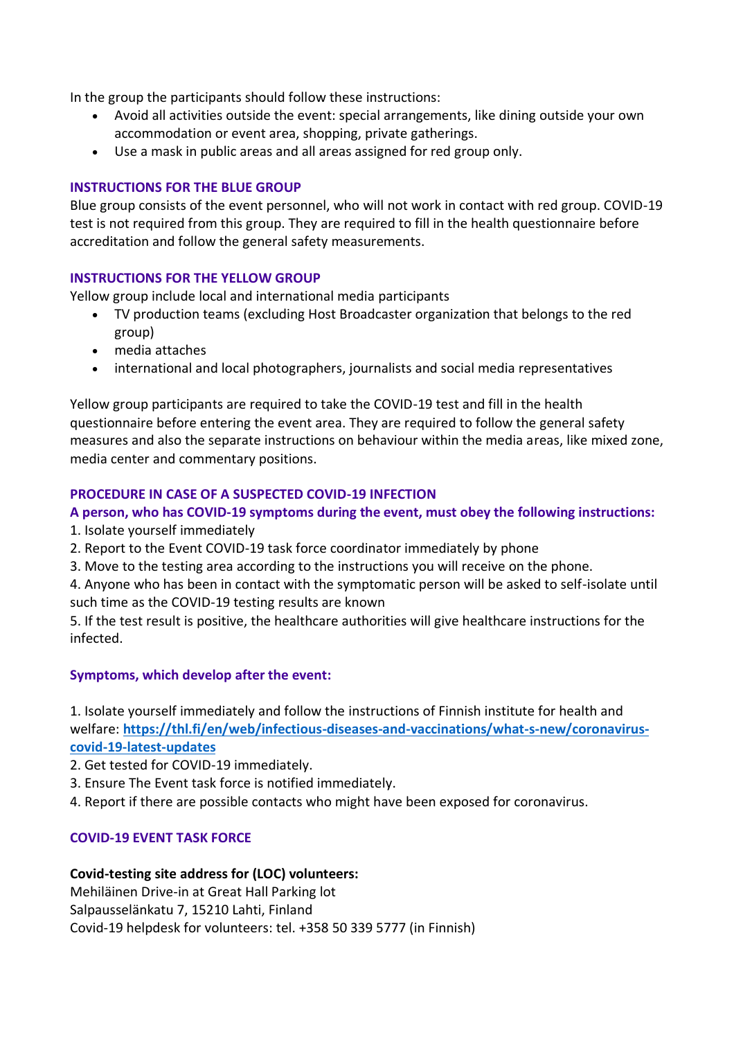In the group the participants should follow these instructions:

- Avoid all activities outside the event: special arrangements, like dining outside your own accommodation or event area, shopping, private gatherings.
- Use a mask in public areas and all areas assigned for red group only.

## **INSTRUCTIONS FOR THE BLUE GROUP**

Blue group consists of the event personnel, who will not work in contact with red group. COVID-19 test is not required from this group. They are required to fill in the health questionnaire before accreditation and follow the general safety measurements.

## **INSTRUCTIONS FOR THE YELLOW GROUP**

Yellow group include local and international media participants

- TV production teams (excluding Host Broadcaster organization that belongs to the red group)
- media attaches
- international and local photographers, journalists and social media representatives

Yellow group participants are required to take the COVID-19 test and fill in the health questionnaire before entering the event area. They are required to follow the general safety measures and also the separate instructions on behaviour within the media areas, like mixed zone, media center and commentary positions.

# **PROCEDURE IN CASE OF A SUSPECTED COVID-19 INFECTION**

# **A person, who has COVID-19 symptoms during the event, must obey the following instructions:**

- 1. Isolate yourself immediately
- 2. Report to the Event COVID-19 task force coordinator immediately by phone
- 3. Move to the testing area according to the instructions you will receive on the phone.
- 4. Anyone who has been in contact with the symptomatic person will be asked to self-isolate until such time as the COVID-19 testing results are known

5. If the test result is positive, the healthcare authorities will give healthcare instructions for the infected.

# **Symptoms, which develop after the event:**

1. Isolate yourself immediately and follow the instructions of Finnish institute for health and welfare: **[https://thl.fi/en/web/infectious-diseases-and-vaccinations/what-s-new/coronavirus](https://thl.fi/en/web/infectious-diseases-and-vaccinations/what-s-new/coronavirus-covid-19-latest-updates)[covid-19-latest-updates](https://thl.fi/en/web/infectious-diseases-and-vaccinations/what-s-new/coronavirus-covid-19-latest-updates)**

- 2. Get tested for COVID-19 immediately.
- 3. Ensure The Event task force is notified immediately.
- 4. Report if there are possible contacts who might have been exposed for coronavirus.

# **COVID-19 EVENT TASK FORCE**

# **Covid-testing site address for (LOC) volunteers:**

Mehiläinen Drive-in at Great Hall Parking lot Salpausselänkatu 7, 15210 Lahti, Finland Covid-19 helpdesk for volunteers: tel. +358 50 339 5777 (in Finnish)